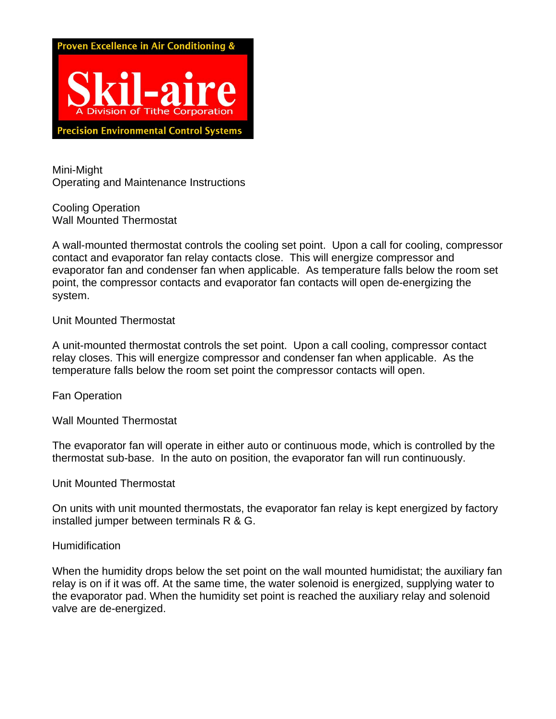

Mini-Might Operating and Maintenance Instructions

Cooling Operation Wall Mounted Thermostat

A wall-mounted thermostat controls the cooling set point. Upon a call for cooling, compressor contact and evaporator fan relay contacts close. This will energize compressor and evaporator fan and condenser fan when applicable. As temperature falls below the room set point, the compressor contacts and evaporator fan contacts will open de-energizing the system.

Unit Mounted Thermostat

A unit-mounted thermostat controls the set point. Upon a call cooling, compressor contact relay closes. This will energize compressor and condenser fan when applicable. As the temperature falls below the room set point the compressor contacts will open.

Fan Operation

Wall Mounted Thermostat

The evaporator fan will operate in either auto or continuous mode, which is controlled by the thermostat sub-base. In the auto on position, the evaporator fan will run continuously.

Unit Mounted Thermostat

On units with unit mounted thermostats, the evaporator fan relay is kept energized by factory installed jumper between terminals R & G.

#### **Humidification**

When the humidity drops below the set point on the wall mounted humidistat; the auxiliary fan relay is on if it was off. At the same time, the water solenoid is energized, supplying water to the evaporator pad. When the humidity set point is reached the auxiliary relay and solenoid valve are de-energized.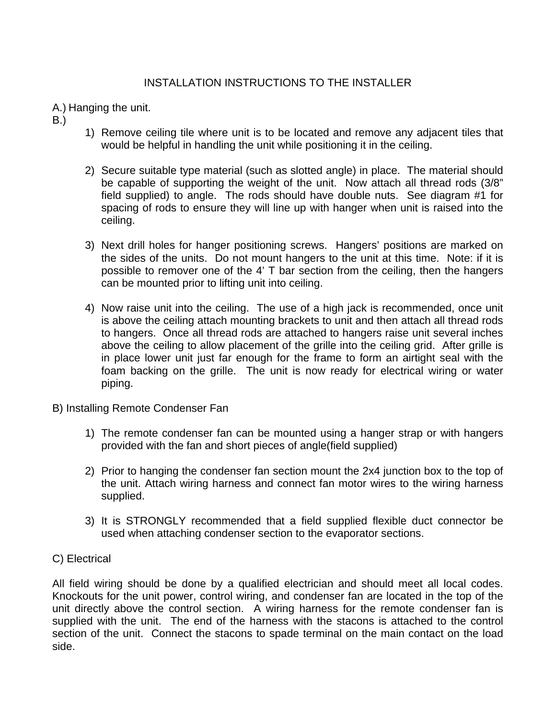### INSTALLATION INSTRUCTIONS TO THE INSTALLER

A.) Hanging the unit.

- B.)
- 1) Remove ceiling tile where unit is to be located and remove any adjacent tiles that would be helpful in handling the unit while positioning it in the ceiling.
- 2) Secure suitable type material (such as slotted angle) in place. The material should be capable of supporting the weight of the unit. Now attach all thread rods (3/8" field supplied) to angle. The rods should have double nuts. See diagram #1 for spacing of rods to ensure they will line up with hanger when unit is raised into the ceiling.
- 3) Next drill holes for hanger positioning screws. Hangers' positions are marked on the sides of the units. Do not mount hangers to the unit at this time. Note: if it is possible to remover one of the 4' T bar section from the ceiling, then the hangers can be mounted prior to lifting unit into ceiling.
- 4) Now raise unit into the ceiling. The use of a high jack is recommended, once unit is above the ceiling attach mounting brackets to unit and then attach all thread rods to hangers. Once all thread rods are attached to hangers raise unit several inches above the ceiling to allow placement of the grille into the ceiling grid. After grille is in place lower unit just far enough for the frame to form an airtight seal with the foam backing on the grille. The unit is now ready for electrical wiring or water piping.
- B) Installing Remote Condenser Fan
	- 1) The remote condenser fan can be mounted using a hanger strap or with hangers provided with the fan and short pieces of angle(field supplied)
	- 2) Prior to hanging the condenser fan section mount the 2x4 junction box to the top of the unit. Attach wiring harness and connect fan motor wires to the wiring harness supplied.
	- 3) It is STRONGLY recommended that a field supplied flexible duct connector be used when attaching condenser section to the evaporator sections.

### C) Electrical

All field wiring should be done by a qualified electrician and should meet all local codes. Knockouts for the unit power, control wiring, and condenser fan are located in the top of the unit directly above the control section. A wiring harness for the remote condenser fan is supplied with the unit. The end of the harness with the stacons is attached to the control section of the unit. Connect the stacons to spade terminal on the main contact on the load side.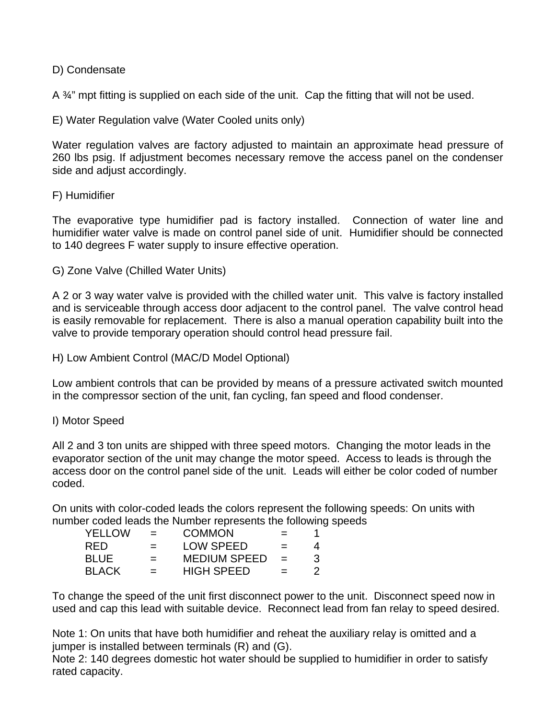### D) Condensate

A <sup>3/4</sup>" mpt fitting is supplied on each side of the unit. Cap the fitting that will not be used.

E) Water Regulation valve (Water Cooled units only)

Water regulation valves are factory adjusted to maintain an approximate head pressure of 260 lbs psig. If adjustment becomes necessary remove the access panel on the condenser side and adjust accordingly.

### F) Humidifier

The evaporative type humidifier pad is factory installed. Connection of water line and humidifier water valve is made on control panel side of unit. Humidifier should be connected to 140 degrees F water supply to insure effective operation.

G) Zone Valve (Chilled Water Units)

A 2 or 3 way water valve is provided with the chilled water unit. This valve is factory installed and is serviceable through access door adjacent to the control panel. The valve control head is easily removable for replacement. There is also a manual operation capability built into the valve to provide temporary operation should control head pressure fail.

H) Low Ambient Control (MAC/D Model Optional)

Low ambient controls that can be provided by means of a pressure activated switch mounted in the compressor section of the unit, fan cycling, fan speed and flood condenser.

### I) Motor Speed

All 2 and 3 ton units are shipped with three speed motors. Changing the motor leads in the evaporator section of the unit may change the motor speed. Access to leads is through the access door on the control panel side of the unit. Leads will either be color coded of number coded.

On units with color-coded leads the colors represent the following speeds: On units with number coded leads the Number represents the following speeds

| <b>YELLOW</b> | $=$ | <b>COMMON</b>       | $=$                       |   |
|---------------|-----|---------------------|---------------------------|---|
| RFD.          | $=$ | <b>LOW SPEED</b>    | $=$                       | 4 |
| <b>BLUE</b>   | $=$ | <b>MEDIUM SPEED</b> | $\mathbf{r} = \mathbf{r}$ | 3 |
| <b>BLACK</b>  | $=$ | <b>HIGH SPEED</b>   | $=$                       |   |

To change the speed of the unit first disconnect power to the unit. Disconnect speed now in used and cap this lead with suitable device. Reconnect lead from fan relay to speed desired.

Note 1: On units that have both humidifier and reheat the auxiliary relay is omitted and a jumper is installed between terminals (R) and (G).

Note 2: 140 degrees domestic hot water should be supplied to humidifier in order to satisfy rated capacity.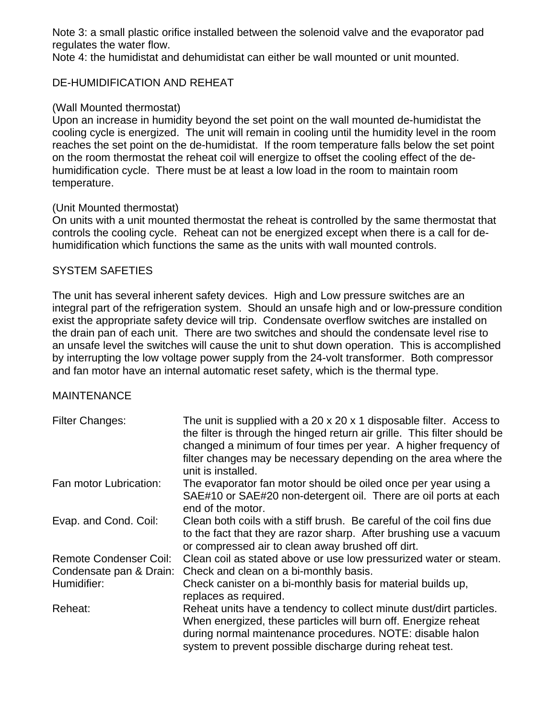Note 3: a small plastic orifice installed between the solenoid valve and the evaporator pad regulates the water flow.

Note 4: the humidistat and dehumidistat can either be wall mounted or unit mounted.

### DE-HUMIDIFICATION AND REHEAT

### (Wall Mounted thermostat)

Upon an increase in humidity beyond the set point on the wall mounted de-humidistat the cooling cycle is energized. The unit will remain in cooling until the humidity level in the room reaches the set point on the de-humidistat. If the room temperature falls below the set point on the room thermostat the reheat coil will energize to offset the cooling effect of the dehumidification cycle. There must be at least a low load in the room to maintain room temperature.

### (Unit Mounted thermostat)

On units with a unit mounted thermostat the reheat is controlled by the same thermostat that controls the cooling cycle. Reheat can not be energized except when there is a call for dehumidification which functions the same as the units with wall mounted controls.

### SYSTEM SAFETIES

The unit has several inherent safety devices. High and Low pressure switches are an integral part of the refrigeration system. Should an unsafe high and or low-pressure condition exist the appropriate safety device will trip. Condensate overflow switches are installed on the drain pan of each unit. There are two switches and should the condensate level rise to an unsafe level the switches will cause the unit to shut down operation. This is accomplished by interrupting the low voltage power supply from the 24-volt transformer. Both compressor and fan motor have an internal automatic reset safety, which is the thermal type.

### **MAINTENANCE**

| <b>Filter Changes:</b>                                   | The unit is supplied with a 20 x 20 x 1 disposable filter. Access to<br>the filter is through the hinged return air grille. This filter should be<br>changed a minimum of four times per year. A higher frequency of<br>filter changes may be necessary depending on the area where the<br>unit is installed. |
|----------------------------------------------------------|---------------------------------------------------------------------------------------------------------------------------------------------------------------------------------------------------------------------------------------------------------------------------------------------------------------|
| Fan motor Lubrication:                                   | The evaporator fan motor should be oiled once per year using a<br>SAE#10 or SAE#20 non-detergent oil. There are oil ports at each<br>end of the motor.                                                                                                                                                        |
| Evap. and Cond. Coil:                                    | Clean both coils with a stiff brush. Be careful of the coil fins due<br>to the fact that they are razor sharp. After brushing use a vacuum<br>or compressed air to clean away brushed off dirt.                                                                                                               |
| <b>Remote Condenser Coil:</b><br>Condensate pan & Drain: | Clean coil as stated above or use low pressurized water or steam.<br>Check and clean on a bi-monthly basis.                                                                                                                                                                                                   |
| Humidifier:                                              | Check canister on a bi-monthly basis for material builds up,<br>replaces as required.                                                                                                                                                                                                                         |
| Reheat:                                                  | Reheat units have a tendency to collect minute dust/dirt particles.<br>When energized, these particles will burn off. Energize reheat<br>during normal maintenance procedures. NOTE: disable halon<br>system to prevent possible discharge during reheat test.                                                |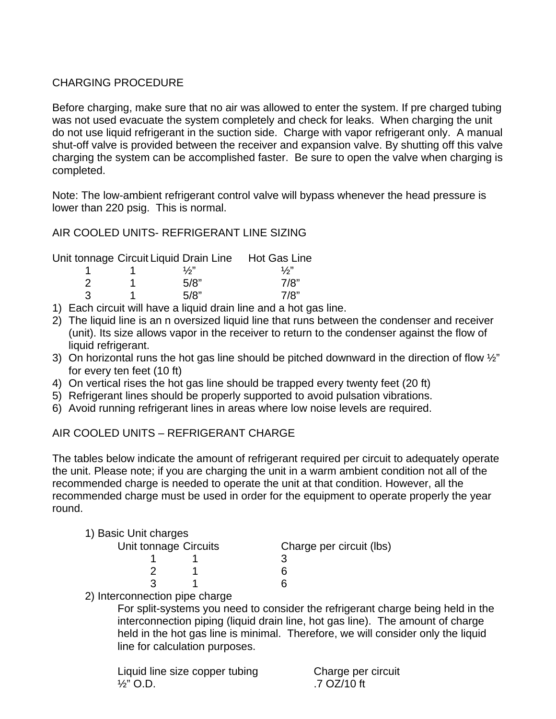### CHARGING PROCEDURE

Before charging, make sure that no air was allowed to enter the system. If pre charged tubing was not used evacuate the system completely and check for leaks. When charging the unit do not use liquid refrigerant in the suction side. Charge with vapor refrigerant only. A manual shut-off valve is provided between the receiver and expansion valve. By shutting off this valve charging the system can be accomplished faster. Be sure to open the valve when charging is completed.

Note: The low-ambient refrigerant control valve will bypass whenever the head pressure is lower than 220 psig. This is normal.

### AIR COOLED UNITS- REFRIGERANT LINE SIZING

|  | Unit tonnage Circuit Liquid Drain Line Hot Gas Line |               |
|--|-----------------------------------------------------|---------------|
|  | $\frac{1}{2}$                                       | $\frac{1}{2}$ |
|  | 5/8"                                                | 7/8"          |
|  | 5/8"                                                | 7/8"          |

- 1) Each circuit will have a liquid drain line and a hot gas line.
- 2) The liquid line is an n oversized liquid line that runs between the condenser and receiver (unit). Its size allows vapor in the receiver to return to the condenser against the flow of liquid refrigerant.
- 3) On horizontal runs the hot gas line should be pitched downward in the direction of flow  $\frac{1}{2}$ " for every ten feet (10 ft)
- 4) On vertical rises the hot gas line should be trapped every twenty feet (20 ft)
- 5) Refrigerant lines should be properly supported to avoid pulsation vibrations.
- 6) Avoid running refrigerant lines in areas where low noise levels are required.

### AIR COOLED UNITS – REFRIGERANT CHARGE

The tables below indicate the amount of refrigerant required per circuit to adequately operate the unit. Please note; if you are charging the unit in a warm ambient condition not all of the recommended charge is needed to operate the unit at that condition. However, all the recommended charge must be used in order for the equipment to operate properly the year round.

|  |  |  | 1) Basic Unit charges |
|--|--|--|-----------------------|
|--|--|--|-----------------------|

| Unit tonnage Circuits         | Charge per circuit (lbs) |
|-------------------------------|--------------------------|
|                               |                          |
|                               |                          |
|                               |                          |
| 0) Intercepcedian pine aborac |                          |

2) Interconnection pipe charge

For split-systems you need to consider the refrigerant charge being held in the interconnection piping (liquid drain line, hot gas line). The amount of charge held in the hot gas line is minimal. Therefore, we will consider only the liquid line for calculation purposes.

| Liquid line size copper tubing | Charge per circuit |
|--------------------------------|--------------------|
| $\frac{1}{2}$ " O.D.           | .7 OZ/10 ft        |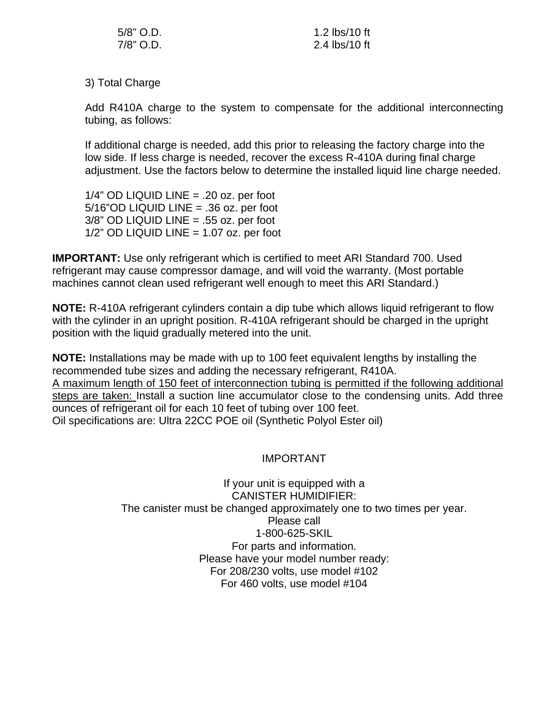| $5/8$ " O.D. | 1.2 lbs/10 ft |
|--------------|---------------|
| 7/8" O.D.    | 2.4 lbs/10 ft |

3) Total Charge

Add R410A charge to the system to compensate for the additional interconnecting tubing, as follows:

 If additional charge is needed, add this prior to releasing the factory charge into the low side. If less charge is needed, recover the excess R-410A during final charge adjustment. Use the factors below to determine the installed liquid line charge needed.

 $1/4$ " OD LIQUID LINE = .20 oz. per foot 5/16"OD LIQUID LINE = .36 oz. per foot  $3/8$ " OD LIQUID LINE = .55 oz. per foot  $1/2$ " OD LIQUID LINE = 1.07 oz. per foot

**IMPORTANT:** Use only refrigerant which is certified to meet ARI Standard 700. Used refrigerant may cause compressor damage, and will void the warranty. (Most portable machines cannot clean used refrigerant well enough to meet this ARI Standard.)

**NOTE:** R-410A refrigerant cylinders contain a dip tube which allows liquid refrigerant to flow with the cylinder in an upright position. R-410A refrigerant should be charged in the upright position with the liquid gradually metered into the unit.

**NOTE:** Installations may be made with up to 100 feet equivalent lengths by installing the recommended tube sizes and adding the necessary refrigerant, R410A. A maximum length of 150 feet of interconnection tubing is permitted if the following additional steps are taken: Install a suction line accumulator close to the condensing units. Add three ounces of refrigerant oil for each 10 feet of tubing over 100 feet. Oil specifications are: Ultra 22CC POE oil (Synthetic Polyol Ester oil)

### IMPORTANT

If your unit is equipped with a CANISTER HUMIDIFIER: The canister must be changed approximately one to two times per year. Please call 1-800-625-SKIL For parts and information. Please have your model number ready: For 208/230 volts, use model #102 For 460 volts, use model #104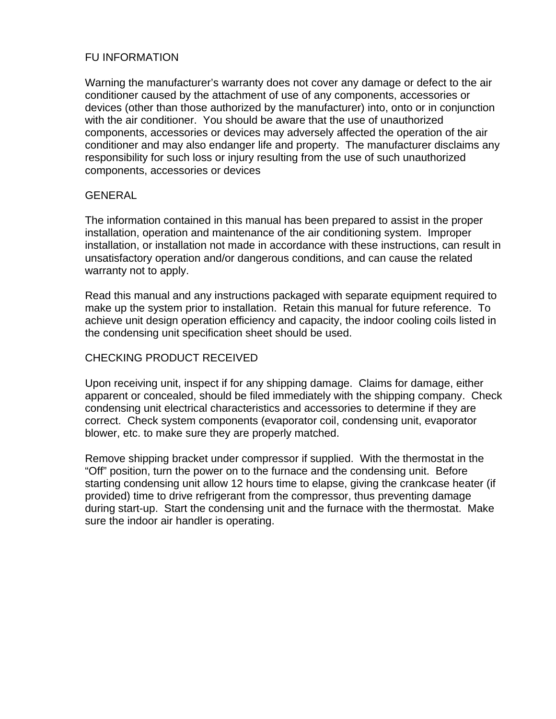### FU INFORMATION

Warning the manufacturer's warranty does not cover any damage or defect to the air conditioner caused by the attachment of use of any components, accessories or devices (other than those authorized by the manufacturer) into, onto or in conjunction with the air conditioner. You should be aware that the use of unauthorized components, accessories or devices may adversely affected the operation of the air conditioner and may also endanger life and property. The manufacturer disclaims any responsibility for such loss or injury resulting from the use of such unauthorized components, accessories or devices

#### **GENERAL**

The information contained in this manual has been prepared to assist in the proper installation, operation and maintenance of the air conditioning system. Improper installation, or installation not made in accordance with these instructions, can result in unsatisfactory operation and/or dangerous conditions, and can cause the related warranty not to apply.

Read this manual and any instructions packaged with separate equipment required to make up the system prior to installation. Retain this manual for future reference. To achieve unit design operation efficiency and capacity, the indoor cooling coils listed in the condensing unit specification sheet should be used.

### CHECKING PRODUCT RECEIVED

Upon receiving unit, inspect if for any shipping damage. Claims for damage, either apparent or concealed, should be filed immediately with the shipping company. Check condensing unit electrical characteristics and accessories to determine if they are correct. Check system components (evaporator coil, condensing unit, evaporator blower, etc. to make sure they are properly matched.

Remove shipping bracket under compressor if supplied. With the thermostat in the "Off" position, turn the power on to the furnace and the condensing unit. Before starting condensing unit allow 12 hours time to elapse, giving the crankcase heater (if provided) time to drive refrigerant from the compressor, thus preventing damage during start-up. Start the condensing unit and the furnace with the thermostat. Make sure the indoor air handler is operating.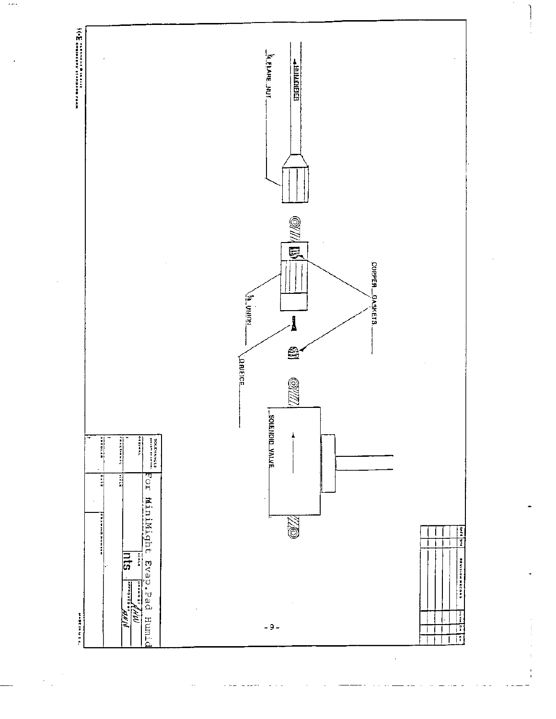

 $\sim$ 

 $\ddot{\phantom{a}}$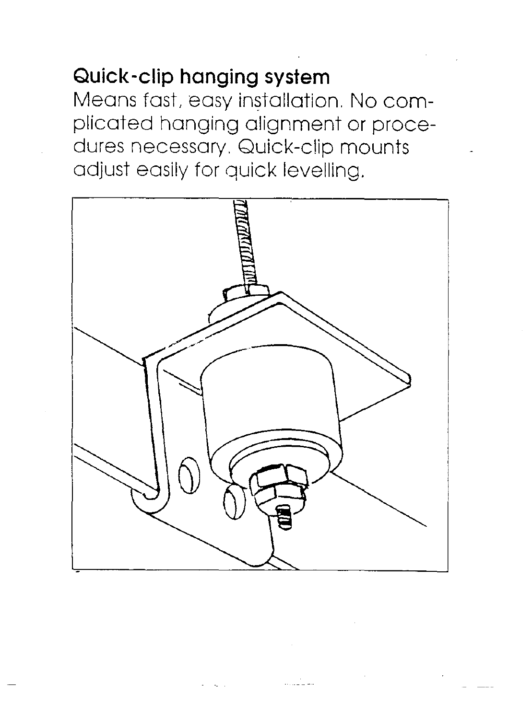# Quick-clip hanging system

Means fast, easy installation. No complicated hanging alignment or procedures necessary. Quick-clip mounts adjust easily for quick levelling.

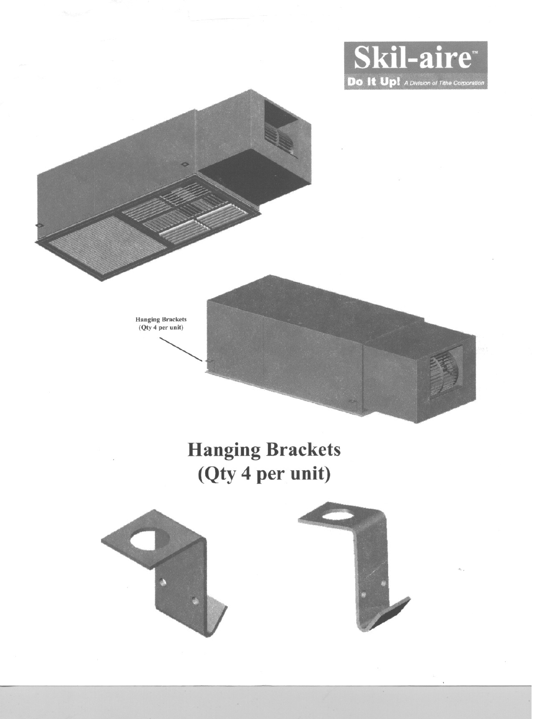



# **Hanging Brackets** (Qty 4 per unit)



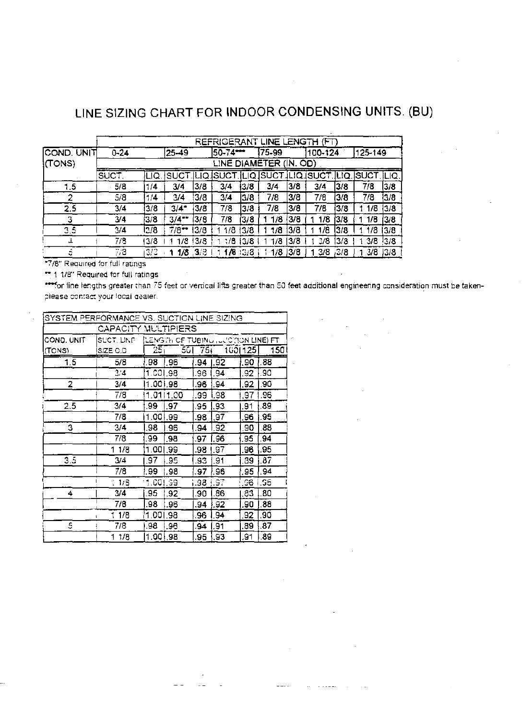# LINE SIZING CHART FOR INDOOR CONDENSING UNITS. (BU)

|                  | REFRIGERANT LINE LENGTH (FT) |                                                               |                     |               |            |      |                        |      |                             |      |       |       |
|------------------|------------------------------|---------------------------------------------------------------|---------------------|---------------|------------|------|------------------------|------|-----------------------------|------|-------|-------|
| COND. UNIT       | $0 - 24$                     | 175-99<br>25–49<br>125-149<br>50-74 <del>---</del><br>100-124 |                     |               |            |      |                        |      |                             |      |       |       |
| ¦(TONS)          |                              |                                                               |                     |               |            |      | LINE DIAMETER (IN, OD) |      |                             |      |       |       |
|                  | 'SUCT.                       | LIQ                                                           | ISUC'               |               | iLiQ İSUCT | ILIQ | <b>ISUCT</b>           |      | <b>JLIQISUCT.JLIQ.ISUCT</b> |      |       | ILIQ. |
| 1.5              | 5/8                          | 1/4                                                           | 3/4                 | 3/8           | 3/4        | 13/8 | 3/4                    | 13/8 | 3/4                         | 3/8  | 7/8   | 3/8   |
| 2                | 5/8                          | 1/4                                                           | 3/4                 | 3/8           | 3/4        | 13/8 | 7/8                    | 3/8  | 7/8                         | 3/8  | 7/8   | 13/8  |
| 2.5              | 3/4                          | 3/8                                                           | $3/4 -$             | 3/8           | 7/8        | 3/8  | 7/8                    | 3/8  | 7/8                         | 3/8  | 1 1/8 | 3/8   |
|                  | 3/4                          | 3/8                                                           | $3/4$ <sup>**</sup> | 13/8          | 7/8        | 13/8 | 1/8                    | 3/8  | 1/8                         | '3/8 | 1/8   | 3/8   |
| $3.\overline{5}$ | 3/4                          | 13/8                                                          | 7/8 –               | 13/3          | 1/8        | 13/8 | 1/8                    | 13/8 | 1/8                         | l3/8 | l /8  | 13/8  |
|                  | 7/3                          | 13/8                                                          |                     | $1/8$ $ 3/8 $ | 1/8        | 3/8  | 1/3                    | 13/8 | $\frac{3}{8}$               | 13/8 | 3/8   | 13/8  |
| ÷                | 7,8                          | 3/3                                                           |                     | $1/8$ 3/3     | 1/8:3/8    |      | $1/8$ $ 3/8$           |      | 3/8                         | ,3/8 | -3/8  | 3/8   |

\*7/8" Required for full ratings

\*\* 1.1/8" Required for full ratings

for line lengths greater than 75 feet or vertical lifts greater than 50 feet additional engineering consideration must be takenplease contact your local dealer.

| SYSTEM PERFORMANCE VS. SUCTION LINE SIZING |                     |          |                                        |      |      |         |     |
|--------------------------------------------|---------------------|----------|----------------------------------------|------|------|---------|-----|
|                                            | CAPACITY MULTIPIERS |          |                                        |      |      |         |     |
| COND, UNIT                                 | SUCT. LINE          |          | LENGITH OF TUBING , JUID (ION LINE) FT |      |      |         |     |
| (TONS).                                    | SIZE O.D            | 25,      | 501                                    | 75)  |      | 1001125 | 150 |
| 1.5                                        | 5/8                 | .98      | ∣96                                    | .94  | .92  | .90     | .88 |
|                                            | 3/4                 | 1.001.98 |                                        | .96  | .94  | .92     | .90 |
| 2                                          | 3/4                 | 1.001.98 |                                        | .96  | .94  | .92     | .90 |
|                                            | 7/8                 |          | 1.0111.00                              | .99  | .98  | .97     | .96 |
| 2.5                                        | 3/4                 | 99       | .97                                    | .95  | 93   | .91     | 89  |
|                                            | 7/8                 | 1.00     | 1.99                                   | .98  | 97   | .96     | .95 |
| 3                                          | 3/4                 | .98      | .96                                    | .94  | ⊦.92 | .90     | .88 |
|                                            | 7/8                 | .99      | .98                                    | .97  | .96  | 95      | 94  |
|                                            | 1 1/8               | 1.00     | .99                                    | .98  | .97  | .96     | .95 |
| 3.5                                        | 3/4                 | .97      | .95                                    | .S3  | .91  | .39     | .87 |
|                                            | 7/8                 | . 99     | 98.                                    | 97   | ! 96 | .95     | ,94 |
|                                            | 1/8                 | 1.001.99 |                                        | i.98 | i.97 | 96      | G5  |
| 4                                          | 3/4                 | .95      | .92                                    | .90  | .86  | .83     | .80 |
|                                            | 7/8                 | .98      | .96                                    | .94  | 92   | .90     | .88 |
|                                            | 1 1/8               | 1.001.98 |                                        | 96   | 94   | .92     | ,90 |
| 5                                          | 7/8                 | .98      | .96                                    | .94  | 91   | .89     | .87 |
|                                            | 1 1/8               | 1.00     | l 98                                   | 95   | 93   | 91,     | .89 |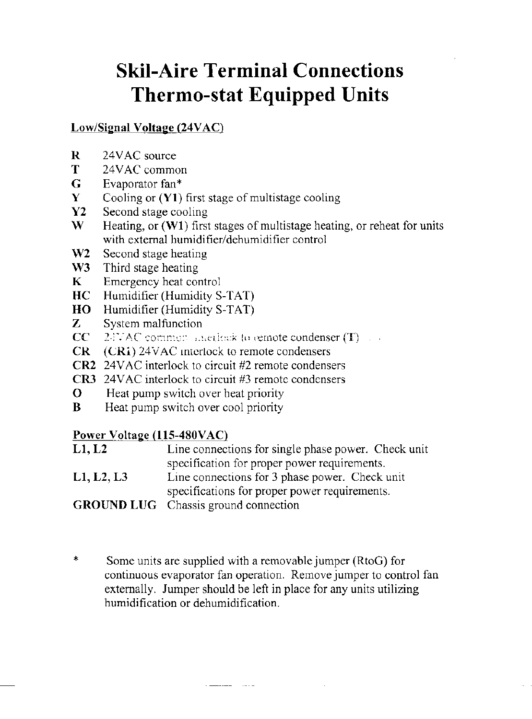# **Skil-Aire Terminal Connections Thermo-stat Equipped Units**

## Low/Signal Voltage (24VAC)

- 24VAC source  $\bf R$
- T 24VAC common
- G. Evaporator fan\*
- Cooling or  $(Y1)$  first stage of multistage cooling  $\mathbf{Y}$
- $\mathbf{Y2}$ Second stage cooling
- W. Heating, or  $(W1)$  first stages of multistage heating, or reheat for units with external humidifier/dehumidifier control
- $W2$ Second stage heating
- $W3$ Third stage heating
- $\mathbf{K}$ Emergency heat control
- $HC$ Humidifier (Humidity S-TAT)
- Humidifier (Humidity S-TAT) HO<sub>1</sub>
- $\mathbf{Z}$ System malfunction
- $CC$  $2$ JVAC common angulook to cemote condenser  $(T)$
- (CRI) 24VAC interlock to remote condensers  $CR$
- **CR2** 24VAC interlock to circuit #2 remote condensers
- **CR3** 24VAC interlock to circuit #3 remote condensers
- $\Omega$ Heat pump switch over heat priority
- B Heat pump switch over cool priority

### Power Voltage (115-480VAC)

- Line connections for single phase power. Check unit  $L1, L2$ specification for proper power requirements.
- $L1, L2, L3$ Line connections for 3 phase power. Check unit specifications for proper power requirements.

**GROUND LUG** Chassis ground connection

 $\ddagger$ Some units are supplied with a removable jumper (RtoG) for continuous evaporator fan operation. Remove jumper to control fan externally. Jumper should be left in place for any units utilizing humidification or dehumidification.

 $\mathbf{L}$  and the contract of  $\mathbf{L}$  and  $\mathbf{L}$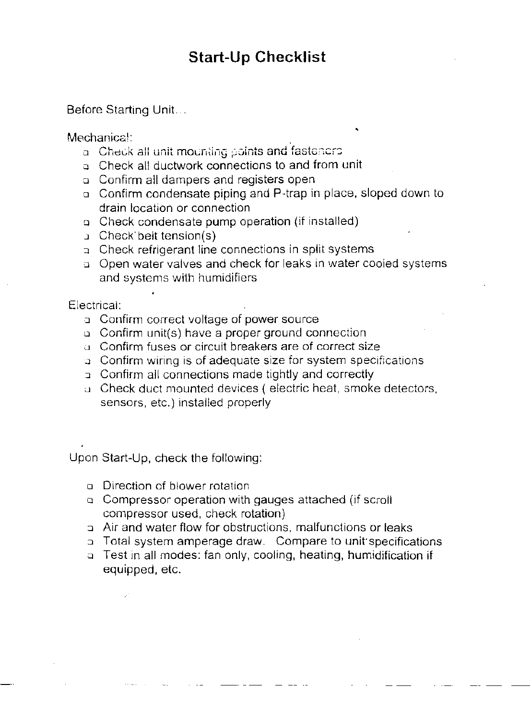# **Start-Up Checklist**

## Before Starting Unit...

Mechanical:

- a Check all unit mounting points and fasteners
- a. Check all ductwork connections to and from unit
- a Confirm all dampers and registers open
- o Confirm condensate piping and P-trap in place, sloped down to drain location or connection
- o Check condensate pump operation (if installed)
- **d** Check belt tension(s)
- a Check refrigerant line connections in split systems
- o Open water valves and check for leaks in water cooled systems and systems with humidifiers

Electrical:

- a Confirm correct voltage of power source
- a Confirm unit(s) have a proper ground connection
- a Confirm fuses or circuit breakers are of correct size
- a Confirm wiring is of adequate size for system specifications
- a Confirm all connections made tightly and correctly
- a. Check duct mounted devices (electric heat, smoke detectors, sensors, etc.) installed properly

Upon Start-Up, check the following:

- o Direction of blower rotation
- □ Compressor operation with gauges attached (if scroll compressor used, check rotation)
- a Air and water flow for obstructions, malfunctions or leaks
- a Total system amperage draw. Compare to unit specifications
- a Test in all modes: fan only, cooling, heating, humidification if equipped, etc.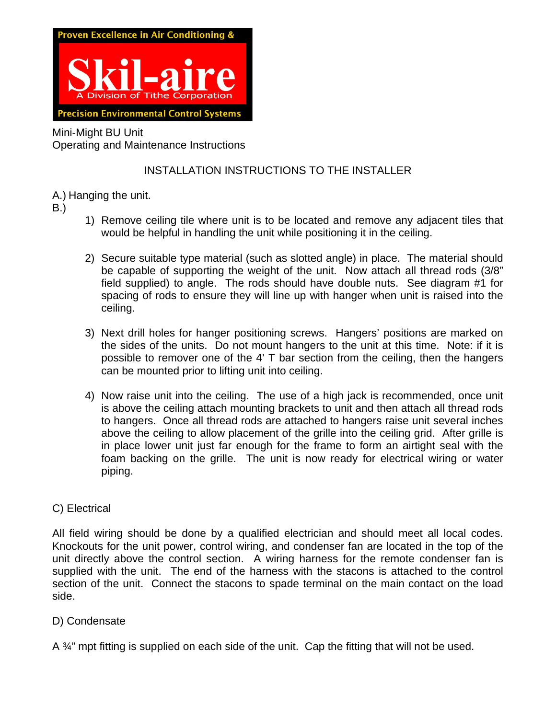

Mini-Might BU Unit Operating and Maintenance Instructions

### INSTALLATION INSTRUCTIONS TO THE INSTALLER

- A.) Hanging the unit.
- B.)
- 1) Remove ceiling tile where unit is to be located and remove any adjacent tiles that would be helpful in handling the unit while positioning it in the ceiling.
- 2) Secure suitable type material (such as slotted angle) in place. The material should be capable of supporting the weight of the unit. Now attach all thread rods (3/8" field supplied) to angle. The rods should have double nuts. See diagram #1 for spacing of rods to ensure they will line up with hanger when unit is raised into the ceiling.
- 3) Next drill holes for hanger positioning screws. Hangers' positions are marked on the sides of the units. Do not mount hangers to the unit at this time. Note: if it is possible to remover one of the 4' T bar section from the ceiling, then the hangers can be mounted prior to lifting unit into ceiling.
- 4) Now raise unit into the ceiling. The use of a high jack is recommended, once unit is above the ceiling attach mounting brackets to unit and then attach all thread rods to hangers. Once all thread rods are attached to hangers raise unit several inches above the ceiling to allow placement of the grille into the ceiling grid. After grille is in place lower unit just far enough for the frame to form an airtight seal with the foam backing on the grille. The unit is now ready for electrical wiring or water piping.

### C) Electrical

All field wiring should be done by a qualified electrician and should meet all local codes. Knockouts for the unit power, control wiring, and condenser fan are located in the top of the unit directly above the control section. A wiring harness for the remote condenser fan is supplied with the unit. The end of the harness with the stacons is attached to the control section of the unit. Connect the stacons to spade terminal on the main contact on the load side.

### D) Condensate

A ¾" mpt fitting is supplied on each side of the unit. Cap the fitting that will not be used.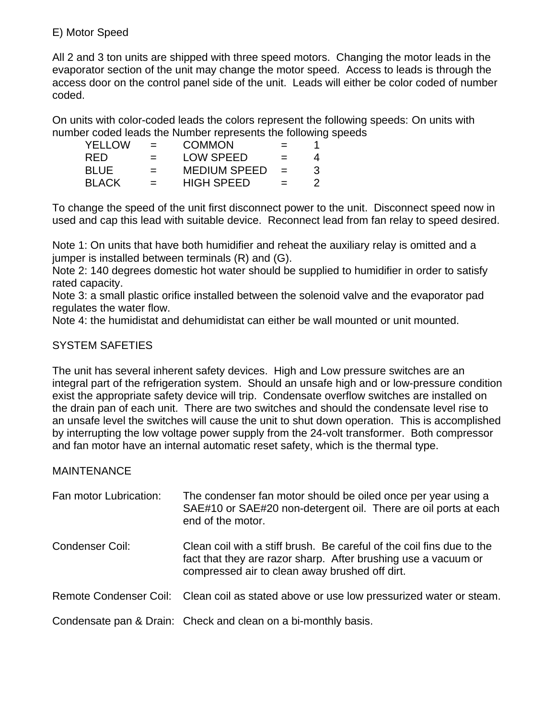### E) Motor Speed

All 2 and 3 ton units are shipped with three speed motors. Changing the motor leads in the evaporator section of the unit may change the motor speed. Access to leads is through the access door on the control panel side of the unit. Leads will either be color coded of number coded.

On units with color-coded leads the colors represent the following speeds: On units with number coded leads the Number represents the following speeds

| <b>YELLOW</b> | $=$ | <b>COMMON</b>       | $=$ |    |
|---------------|-----|---------------------|-----|----|
| <b>RFD</b>    |     | <b>LOW SPEED</b>    |     |    |
| <b>BLUE</b>   | $=$ | <b>MEDIUM SPEED</b> | $=$ | ંર |
| <b>BLACK</b>  | $=$ | <b>HIGH SPEED</b>   | $=$ |    |

To change the speed of the unit first disconnect power to the unit. Disconnect speed now in used and cap this lead with suitable device. Reconnect lead from fan relay to speed desired.

Note 1: On units that have both humidifier and reheat the auxiliary relay is omitted and a jumper is installed between terminals (R) and (G).

Note 2: 140 degrees domestic hot water should be supplied to humidifier in order to satisfy rated capacity.

Note 3: a small plastic orifice installed between the solenoid valve and the evaporator pad regulates the water flow.

Note 4: the humidistat and dehumidistat can either be wall mounted or unit mounted.

### SYSTEM SAFETIES

The unit has several inherent safety devices. High and Low pressure switches are an integral part of the refrigeration system. Should an unsafe high and or low-pressure condition exist the appropriate safety device will trip. Condensate overflow switches are installed on the drain pan of each unit. There are two switches and should the condensate level rise to an unsafe level the switches will cause the unit to shut down operation. This is accomplished by interrupting the low voltage power supply from the 24-volt transformer. Both compressor and fan motor have an internal automatic reset safety, which is the thermal type.

### **MAINTENANCE**

| Fan motor Lubrication: | The condenser fan motor should be oiled once per year using a<br>SAE#10 or SAE#20 non-detergent oil. There are oil ports at each<br>end of the motor.                                     |
|------------------------|-------------------------------------------------------------------------------------------------------------------------------------------------------------------------------------------|
| Condenser Coil:        | Clean coil with a stiff brush. Be careful of the coil fins due to the<br>fact that they are razor sharp. After brushing use a vacuum or<br>compressed air to clean away brushed off dirt. |
|                        | Remote Condenser Coil: Clean coil as stated above or use low pressurized water or steam.                                                                                                  |
|                        | Condensate pan & Drain: Check and clean on a bi-monthly basis.                                                                                                                            |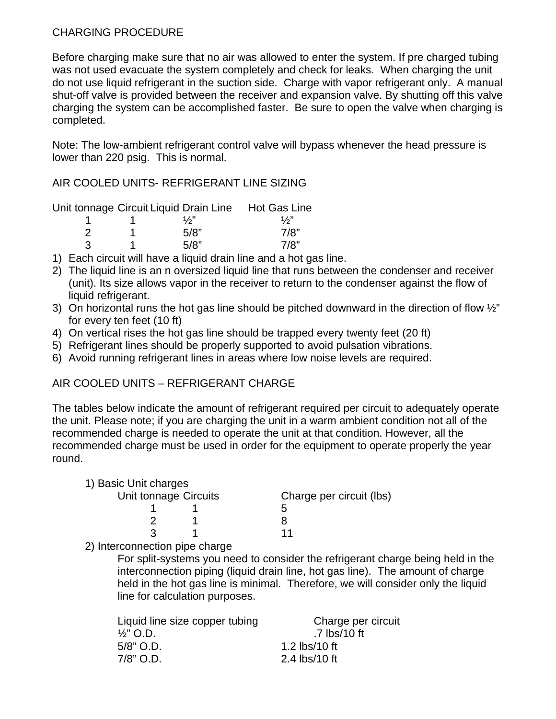### CHARGING PROCEDURE

Before charging make sure that no air was allowed to enter the system. If pre charged tubing was not used evacuate the system completely and check for leaks. When charging the unit do not use liquid refrigerant in the suction side. Charge with vapor refrigerant only. A manual shut-off valve is provided between the receiver and expansion valve. By shutting off this valve charging the system can be accomplished faster. Be sure to open the valve when charging is completed.

Note: The low-ambient refrigerant control valve will bypass whenever the head pressure is lower than 220 psig. This is normal.

AIR COOLED UNITS- REFRIGERANT LINE SIZING

Unit tonnage Circuit Liquid Drain Line Hot Gas Line

| __ | $\frac{1}{2}$ | $\frac{1}{2}$ |
|----|---------------|---------------|
|    | 5/8"          | 7/8"          |
| 3  | 5/8"          | 7/8"          |

- 1) Each circuit will have a liquid drain line and a hot gas line.
- 2) The liquid line is an n oversized liquid line that runs between the condenser and receiver (unit). Its size allows vapor in the receiver to return to the condenser against the flow of liquid refrigerant.
- 3) On horizontal runs the hot gas line should be pitched downward in the direction of flow  $\frac{1}{2}$ " for every ten feet (10 ft)
- 4) On vertical rises the hot gas line should be trapped every twenty feet (20 ft)
- 5) Refrigerant lines should be properly supported to avoid pulsation vibrations.
- 6) Avoid running refrigerant lines in areas where low noise levels are required.

### AIR COOLED UNITS – REFRIGERANT CHARGE

The tables below indicate the amount of refrigerant required per circuit to adequately operate the unit. Please note; if you are charging the unit in a warm ambient condition not all of the recommended charge is needed to operate the unit at that condition. However, all the recommended charge must be used in order for the equipment to operate properly the year round.

| 1) Basic Unit charges |  |                          |
|-----------------------|--|--------------------------|
| Unit tonnage Circuits |  | Charge per circuit (lbs) |
|                       |  |                          |
|                       |  |                          |
|                       |  |                          |

2) Interconnection pipe charge

For split-systems you need to consider the refrigerant charge being held in the interconnection piping (liquid drain line, hot gas line). The amount of charge held in the hot gas line is minimal. Therefore, we will consider only the liquid line for calculation purposes.

| Liquid line size copper tubing | Charge per circuit            |
|--------------------------------|-------------------------------|
| $\frac{1}{2}$ " O.D.           | .7 $\text{lbs}/10 \text{ ft}$ |
| $5/8"$ O.D.                    | 1.2 lbs/10 ft                 |
| $7/8"$ O.D.                    | 2.4 lbs/10 ft                 |